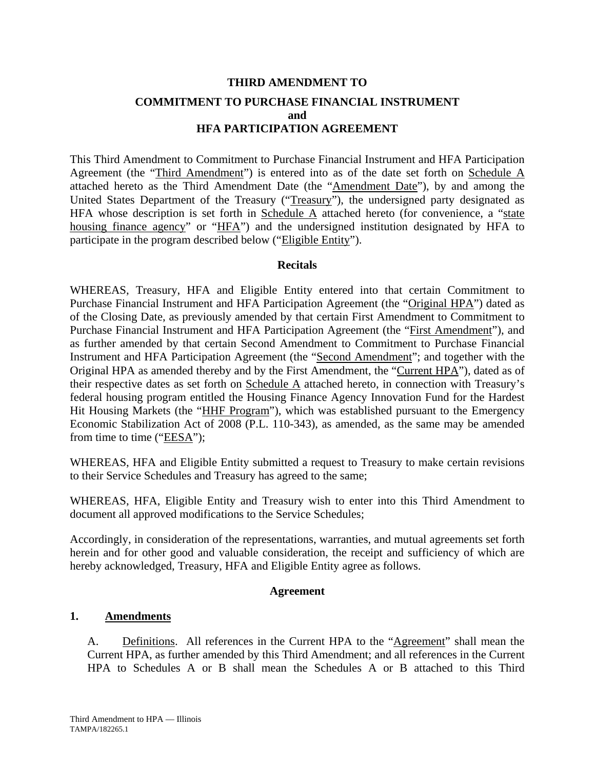# **THIRD AMENDMENT TO COMMITMENT TO PURCHASE FINANCIAL INSTRUMENT and HFA PARTICIPATION AGREEMENT**

This Third Amendment to Commitment to Purchase Financial Instrument and HFA Participation Agreement (the "Third Amendment") is entered into as of the date set forth on Schedule A attached hereto as the Third Amendment Date (the "Amendment Date"), by and among the United States Department of the Treasury ("Treasury"), the undersigned party designated as HFA whose description is set forth in Schedule  $\overline{A}$  attached hereto (for convenience, a "state housing finance agency" or "HFA") and the undersigned institution designated by HFA to participate in the program described below ("Eligible Entity").

## **Recitals**

WHEREAS, Treasury, HFA and Eligible Entity entered into that certain Commitment to Purchase Financial Instrument and HFA Participation Agreement (the "Original HPA") dated as of the Closing Date, as previously amended by that certain First Amendment to Commitment to Purchase Financial Instrument and HFA Participation Agreement (the "First Amendment"), and as further amended by that certain Second Amendment to Commitment to Purchase Financial Instrument and HFA Participation Agreement (the "Second Amendment"; and together with the Original HPA as amended thereby and by the First Amendment, the "Current HPA"), dated as of their respective dates as set forth on Schedule A attached hereto, in connection with Treasury's federal housing program entitled the Housing Finance Agency Innovation Fund for the Hardest Hit Housing Markets (the "HHF Program"), which was established pursuant to the Emergency Economic Stabilization Act of 2008 (P.L. 110-343), as amended, as the same may be amended from time to time (" $EESA$ ");

WHEREAS, HFA and Eligible Entity submitted a request to Treasury to make certain revisions to their Service Schedules and Treasury has agreed to the same;

WHEREAS, HFA, Eligible Entity and Treasury wish to enter into this Third Amendment to document all approved modifications to the Service Schedules;

Accordingly, in consideration of the representations, warranties, and mutual agreements set forth herein and for other good and valuable consideration, the receipt and sufficiency of which are hereby acknowledged, Treasury, HFA and Eligible Entity agree as follows.

## **Agreement**

## **1. Amendments**

A. Definitions. All references in the Current HPA to the "Agreement" shall mean the Current HPA, as further amended by this Third Amendment; and all references in the Current HPA to Schedules A or B shall mean the Schedules A or B attached to this Third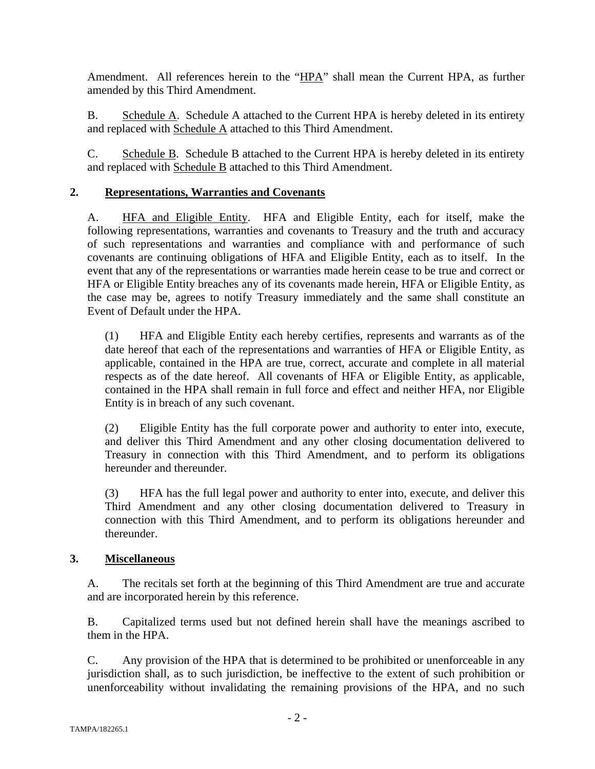Amendment. All references herein to the "HPA" shall mean the Current HPA, as further amended by this Third Amendment.

B. Schedule A. Schedule A attached to the Current HPA is hereby deleted in its entirety and replaced with Schedule A attached to this Third Amendment.

C. Schedule B. Schedule B attached to the Current HPA is hereby deleted in its entirety and replaced with Schedule B attached to this Third Amendment.

## **2. Representations, Warranties and Covenants**

A. HFA and Eligible Entity. HFA and Eligible Entity, each for itself, make the following representations, warranties and covenants to Treasury and the truth and accuracy of such representations and warranties and compliance with and performance of such covenants are continuing obligations of HFA and Eligible Entity, each as to itself. In the event that any of the representations or warranties made herein cease to be true and correct or HFA or Eligible Entity breaches any of its covenants made herein, HFA or Eligible Entity, as the case may be, agrees to notify Treasury immediately and the same shall constitute an Event of Default under the HPA.

(1) HFA and Eligible Entity each hereby certifies, represents and warrants as of the date hereof that each of the representations and warranties of HFA or Eligible Entity, as applicable, contained in the HPA are true, correct, accurate and complete in all material respects as of the date hereof. All covenants of HFA or Eligible Entity, as applicable, contained in the HPA shall remain in full force and effect and neither HFA, nor Eligible Entity is in breach of any such covenant.

(2) Eligible Entity has the full corporate power and authority to enter into, execute, and deliver this Third Amendment and any other closing documentation delivered to Treasury in connection with this Third Amendment, and to perform its obligations hereunder and thereunder.

(3) HFA has the full legal power and authority to enter into, execute, and deliver this Third Amendment and any other closing documentation delivered to Treasury in connection with this Third Amendment, and to perform its obligations hereunder and thereunder.

## **3. Miscellaneous**

A. The recitals set forth at the beginning of this Third Amendment are true and accurate and are incorporated herein by this reference.

B. Capitalized terms used but not defined herein shall have the meanings ascribed to them in the HPA.

C. Any provision of the HPA that is determined to be prohibited or unenforceable in any jurisdiction shall, as to such jurisdiction, be ineffective to the extent of such prohibition or unenforceability without invalidating the remaining provisions of the HPA, and no such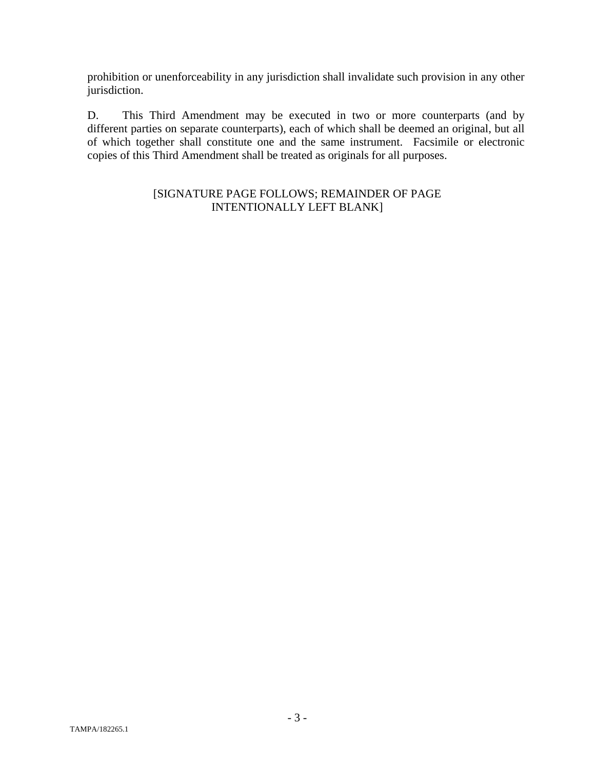prohibition or unenforceability in any jurisdiction shall invalidate such provision in any other jurisdiction.

D. This Third Amendment may be executed in two or more counterparts (and by different parties on separate counterparts), each of which shall be deemed an original, but all of which together shall constitute one and the same instrument. Facsimile or electronic copies of this Third Amendment shall be treated as originals for all purposes.

## [SIGNATURE PAGE FOLLOWS; REMAINDER OF PAGE INTENTIONALLY LEFT BLANK]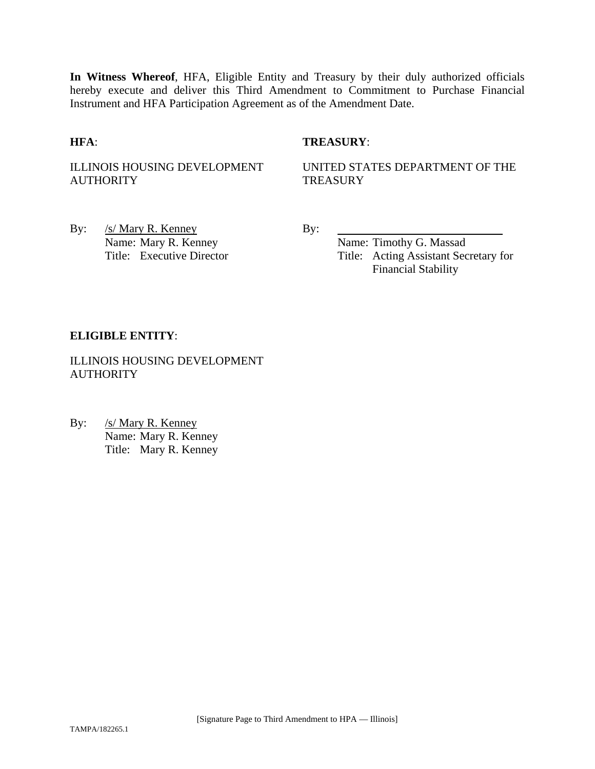**In Witness Whereof**, HFA, Eligible Entity and Treasury by their duly authorized officials hereby execute and deliver this Third Amendment to Commitment to Purchase Financial Instrument and HFA Participation Agreement as of the Amendment Date.

## **HFA**: **TREASURY**:

ILLINOIS HOUSING DEVELOPMENT **AUTHORITY** 

UNITED STATES DEPARTMENT OF THE **TREASURY** 

By: /s/ Mary R. Kenney By: Name: Mary R. Kenney Name: Timothy G. Massad

Title: Executive Director Title: Acting Assistant Secretary for Financial Stability

## **ELIGIBLE ENTITY**:

ILLINOIS HOUSING DEVELOPMENT **AUTHORITY** 

By: /s/ Mary R. Kenney Name: Mary R. Kenney Title: Mary R. Kenney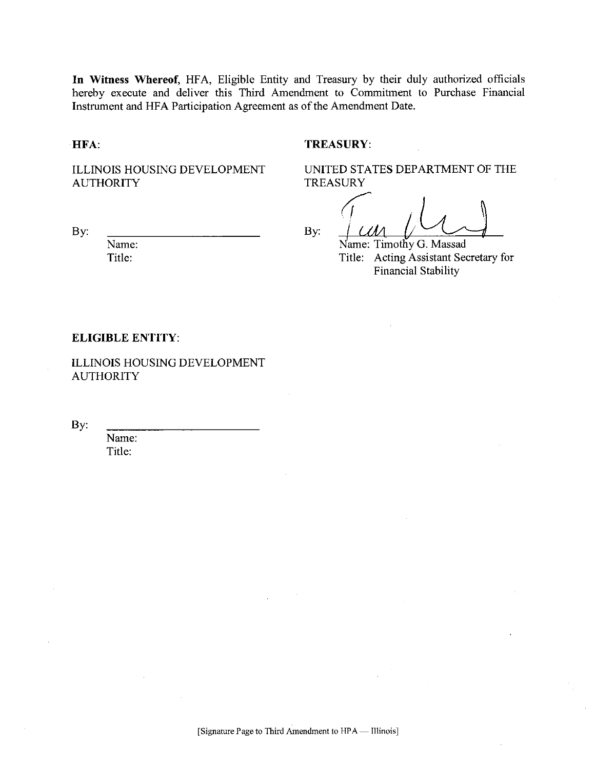In Witness Whereof, HFA, Eligible Entity and Treasury by their duly authorized officials hereby execute and deliver this Third Amendment to Commitment to Purchase Financial Instrument and HFA Participation Agreement as of the Amendment Date.

#### HFA:

By:

## **TREASURY:**

ILLINOIS HOUSING DEVELOPMENT **AUTHORITY** 

UNITED STATES DEPARTMENT OF THE **TREASURY** 

By:

Name: Timothy G. Massad Title: Acting Assistant Secretary for Financial Stability

#### **ELIGIBLE ENTITY:**

Name:

Title:

**ILLINOIS HOUSING DEVELOPMENT AUTHORITY** 

By:

Name: Title: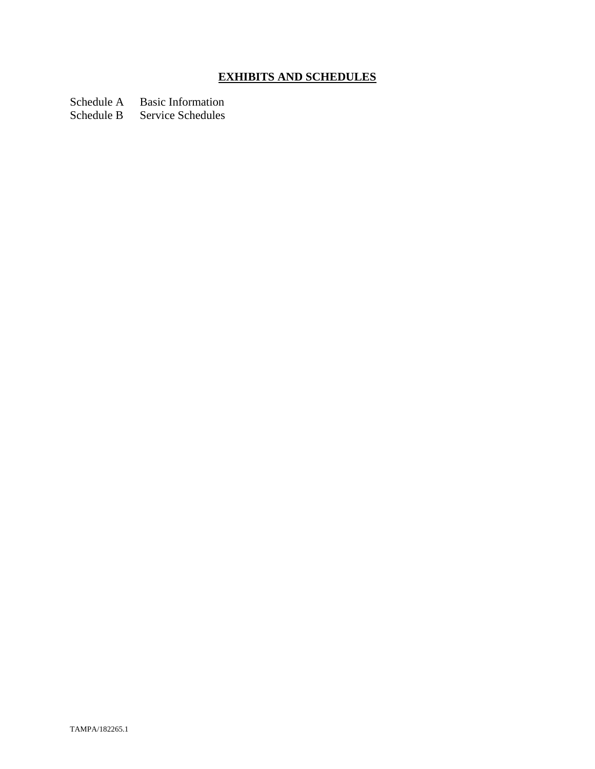# **EXHIBITS AND SCHEDULES**

Schedule A Basic Information

Schedule B Service Schedules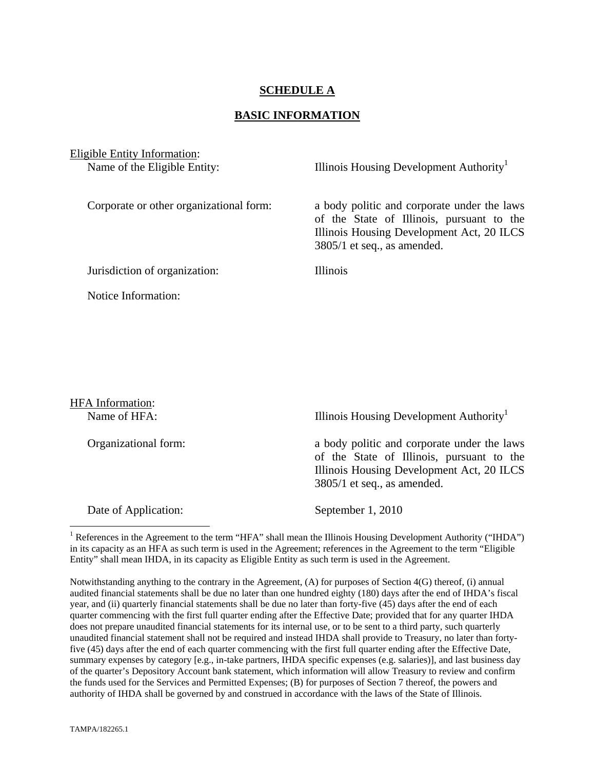## **SCHEDULE A**

### **BASIC INFORMATION**

Eligible Entity Information: Name of the Eligible Entity: Illinois Housing Development Authority<sup>1</sup>

Corporate or other organizational form: a body politic and corporate under the laws of the State of Illinois, pursuant to the Illinois Housing Development Act, 20 ILCS 3805/1 et seq., as amended.

Jurisdiction of organization: Illinois

Notice Information:

HFA Information: Name of HFA: Illinois Housing Development Authority<sup>1</sup> Organizational form: a body politic and corporate under the laws of the State of Illinois, pursuant to the Illinois Housing Development Act, 20 ILCS 3805/1 et seq., as amended. Date of Application: September 1, 2010  $\overline{a}$ 

<sup>1</sup> References in the Agreement to the term "HFA" shall mean the Illinois Housing Development Authority ("IHDA") in its capacity as an HFA as such term is used in the Agreement; references in the Agreement to the term "Eligible Entity" shall mean IHDA, in its capacity as Eligible Entity as such term is used in the Agreement.

Notwithstanding anything to the contrary in the Agreement, (A) for purposes of Section 4(G) thereof, (i) annual audited financial statements shall be due no later than one hundred eighty (180) days after the end of IHDA's fiscal year, and (ii) quarterly financial statements shall be due no later than forty-five (45) days after the end of each quarter commencing with the first full quarter ending after the Effective Date; provided that for any quarter IHDA does not prepare unaudited financial statements for its internal use, or to be sent to a third party, such quarterly unaudited financial statement shall not be required and instead IHDA shall provide to Treasury, no later than fortyfive (45) days after the end of each quarter commencing with the first full quarter ending after the Effective Date, summary expenses by category [e.g., in-take partners, IHDA specific expenses (e.g. salaries)], and last business day of the quarter's Depository Account bank statement, which information will allow Treasury to review and confirm the funds used for the Services and Permitted Expenses; (B) for purposes of Section 7 thereof, the powers and authority of IHDA shall be governed by and construed in accordance with the laws of the State of Illinois.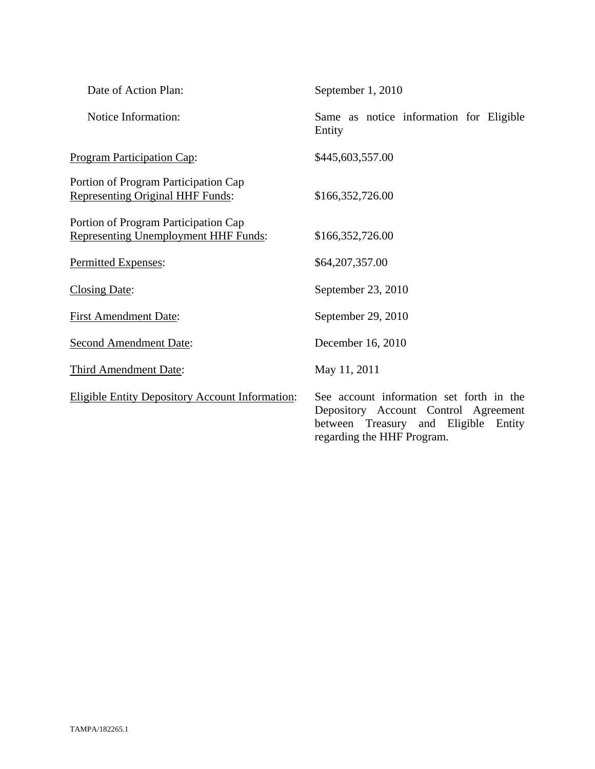| Date of Action Plan:                                                                | September 1, 2010                                                                                                                                      |
|-------------------------------------------------------------------------------------|--------------------------------------------------------------------------------------------------------------------------------------------------------|
| Notice Information:                                                                 | Same as notice information for Eligible<br>Entity                                                                                                      |
| <b>Program Participation Cap:</b>                                                   | \$445,603,557.00                                                                                                                                       |
| Portion of Program Participation Cap<br><b>Representing Original HHF Funds:</b>     | \$166,352,726.00                                                                                                                                       |
| Portion of Program Participation Cap<br><b>Representing Unemployment HHF Funds:</b> | \$166,352,726.00                                                                                                                                       |
| Permitted Expenses:                                                                 | \$64,207,357.00                                                                                                                                        |
| <b>Closing Date:</b>                                                                | September 23, 2010                                                                                                                                     |
| <b>First Amendment Date:</b>                                                        | September 29, 2010                                                                                                                                     |
| <b>Second Amendment Date:</b>                                                       | December 16, 2010                                                                                                                                      |
| Third Amendment Date:                                                               | May 11, 2011                                                                                                                                           |
| <b>Eligible Entity Depository Account Information:</b>                              | See account information set forth in the<br>Depository Account Control Agreement<br>between Treasury and Eligible Entity<br>regarding the HHF Program. |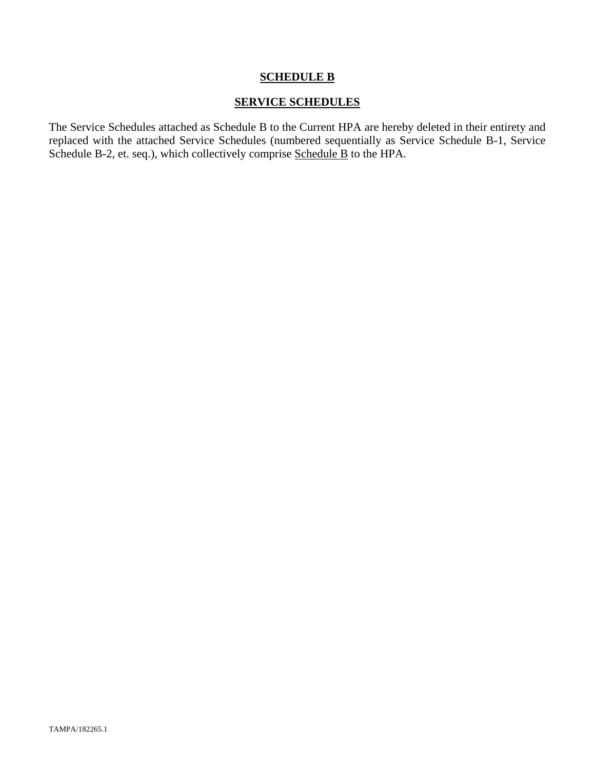## **SCHEDULE B**

## **SERVICE SCHEDULES**

The Service Schedules attached as Schedule B to the Current HPA are hereby deleted in their entirety and replaced with the attached Service Schedules (numbered sequentially as Service Schedule B-1, Service Schedule B-2, et. seq.), which collectively comprise Schedule B to the HPA.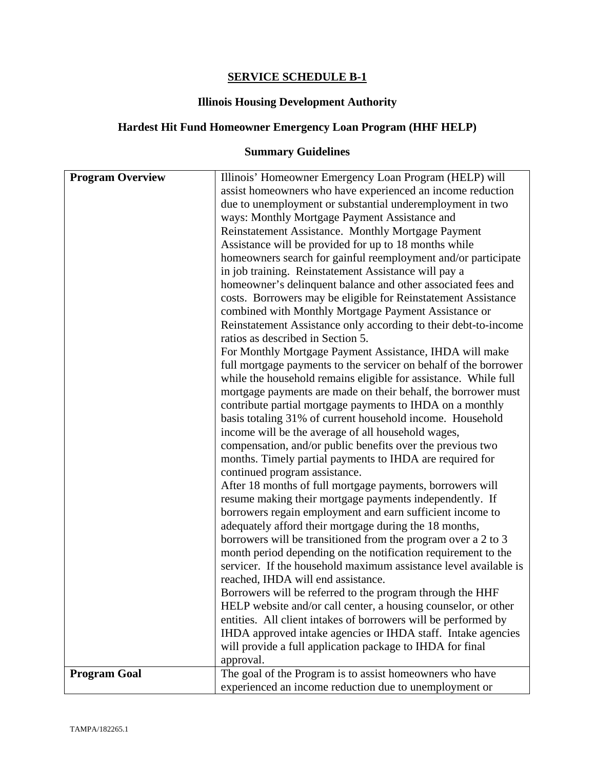## **SERVICE SCHEDULE B-1**

## **Illinois Housing Development Authority**

## **Hardest Hit Fund Homeowner Emergency Loan Program (HHF HELP)**

# **Summary Guidelines**

| <b>Program Overview</b> | Illinois' Homeowner Emergency Loan Program (HELP) will<br>assist homeowners who have experienced an income reduction |
|-------------------------|----------------------------------------------------------------------------------------------------------------------|
|                         | due to unemployment or substantial underemployment in two                                                            |
|                         | ways: Monthly Mortgage Payment Assistance and                                                                        |
|                         | Reinstatement Assistance. Monthly Mortgage Payment                                                                   |
|                         | Assistance will be provided for up to 18 months while                                                                |
|                         | homeowners search for gainful reemployment and/or participate                                                        |
|                         | in job training. Reinstatement Assistance will pay a                                                                 |
|                         | homeowner's delinquent balance and other associated fees and                                                         |
|                         | costs. Borrowers may be eligible for Reinstatement Assistance                                                        |
|                         | combined with Monthly Mortgage Payment Assistance or                                                                 |
|                         | Reinstatement Assistance only according to their debt-to-income                                                      |
|                         | ratios as described in Section 5.                                                                                    |
|                         | For Monthly Mortgage Payment Assistance, IHDA will make                                                              |
|                         | full mortgage payments to the servicer on behalf of the borrower                                                     |
|                         | while the household remains eligible for assistance. While full                                                      |
|                         | mortgage payments are made on their behalf, the borrower must                                                        |
|                         | contribute partial mortgage payments to IHDA on a monthly                                                            |
|                         | basis totaling 31% of current household income. Household                                                            |
|                         | income will be the average of all household wages,                                                                   |
|                         | compensation, and/or public benefits over the previous two                                                           |
|                         | months. Timely partial payments to IHDA are required for                                                             |
|                         | continued program assistance.                                                                                        |
|                         | After 18 months of full mortgage payments, borrowers will                                                            |
|                         | resume making their mortgage payments independently. If                                                              |
|                         | borrowers regain employment and earn sufficient income to                                                            |
|                         | adequately afford their mortgage during the 18 months,                                                               |
|                         | borrowers will be transitioned from the program over a 2 to 3                                                        |
|                         | month period depending on the notification requirement to the                                                        |
|                         | servicer. If the household maximum assistance level available is                                                     |
|                         | reached, IHDA will end assistance.                                                                                   |
|                         | Borrowers will be referred to the program through the HHF                                                            |
|                         | HELP website and/or call center, a housing counselor, or other                                                       |
|                         | entities. All client intakes of borrowers will be performed by                                                       |
|                         | IHDA approved intake agencies or IHDA staff. Intake agencies                                                         |
|                         | will provide a full application package to IHDA for final                                                            |
|                         | approval.                                                                                                            |
| <b>Program Goal</b>     | The goal of the Program is to assist homeowners who have                                                             |
|                         | experienced an income reduction due to unemployment or                                                               |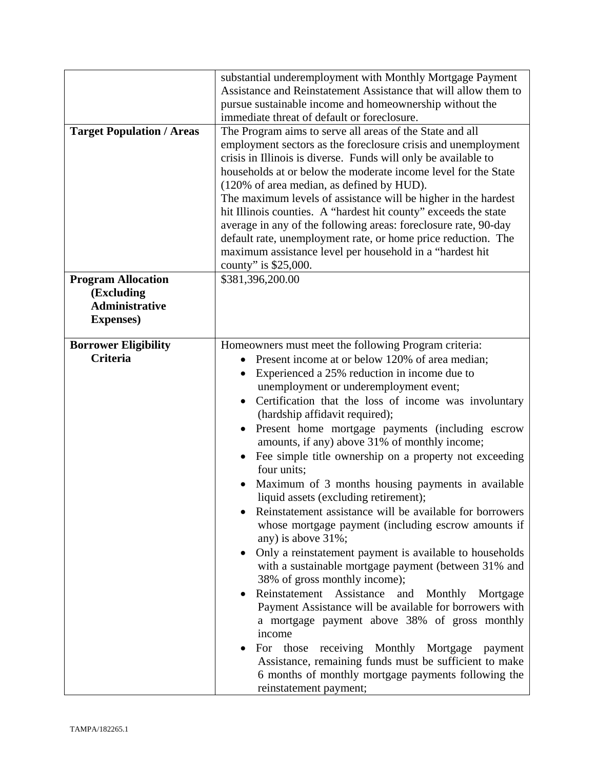| <b>Target Population / Areas</b>                                                      | substantial underemployment with Monthly Mortgage Payment<br>Assistance and Reinstatement Assistance that will allow them to<br>pursue sustainable income and homeownership without the<br>immediate threat of default or foreclosure.<br>The Program aims to serve all areas of the State and all<br>employment sectors as the foreclosure crisis and unemployment<br>crisis in Illinois is diverse. Funds will only be available to<br>households at or below the moderate income level for the State<br>(120% of area median, as defined by HUD).<br>The maximum levels of assistance will be higher in the hardest<br>hit Illinois counties. A "hardest hit county" exceeds the state<br>average in any of the following areas: foreclosure rate, 90-day<br>default rate, unemployment rate, or home price reduction. The<br>maximum assistance level per household in a "hardest hit<br>county" is \$25,000.                                                                                                                                                                                                                                                                                                                                                   |
|---------------------------------------------------------------------------------------|---------------------------------------------------------------------------------------------------------------------------------------------------------------------------------------------------------------------------------------------------------------------------------------------------------------------------------------------------------------------------------------------------------------------------------------------------------------------------------------------------------------------------------------------------------------------------------------------------------------------------------------------------------------------------------------------------------------------------------------------------------------------------------------------------------------------------------------------------------------------------------------------------------------------------------------------------------------------------------------------------------------------------------------------------------------------------------------------------------------------------------------------------------------------------------------------------------------------------------------------------------------------|
| <b>Program Allocation</b><br>(Excluding<br><b>Administrative</b><br><b>Expenses</b> ) | \$381,396,200.00                                                                                                                                                                                                                                                                                                                                                                                                                                                                                                                                                                                                                                                                                                                                                                                                                                                                                                                                                                                                                                                                                                                                                                                                                                                    |
| <b>Borrower Eligibility</b><br><b>Criteria</b>                                        | Homeowners must meet the following Program criteria:<br>Present income at or below 120% of area median;<br>Experienced a 25% reduction in income due to<br>$\bullet$<br>unemployment or underemployment event;<br>Certification that the loss of income was involuntary<br>(hardship affidavit required);<br>Present home mortgage payments (including escrow<br>amounts, if any) above 31% of monthly income;<br>Fee simple title ownership on a property not exceeding<br>four units;<br>Maximum of 3 months housing payments in available<br>liquid assets (excluding retirement);<br>Reinstatement assistance will be available for borrowers<br>whose mortgage payment (including escrow amounts if<br>any) is above 31%;<br>Only a reinstatement payment is available to households<br>with a sustainable mortgage payment (between 31% and<br>38% of gross monthly income);<br>Reinstatement Assistance<br>and<br>Monthly<br>Mortgage<br>Payment Assistance will be available for borrowers with<br>a mortgage payment above 38% of gross monthly<br>income<br>For those receiving Monthly<br>Mortgage<br>payment<br>Assistance, remaining funds must be sufficient to make<br>6 months of monthly mortgage payments following the<br>reinstatement payment; |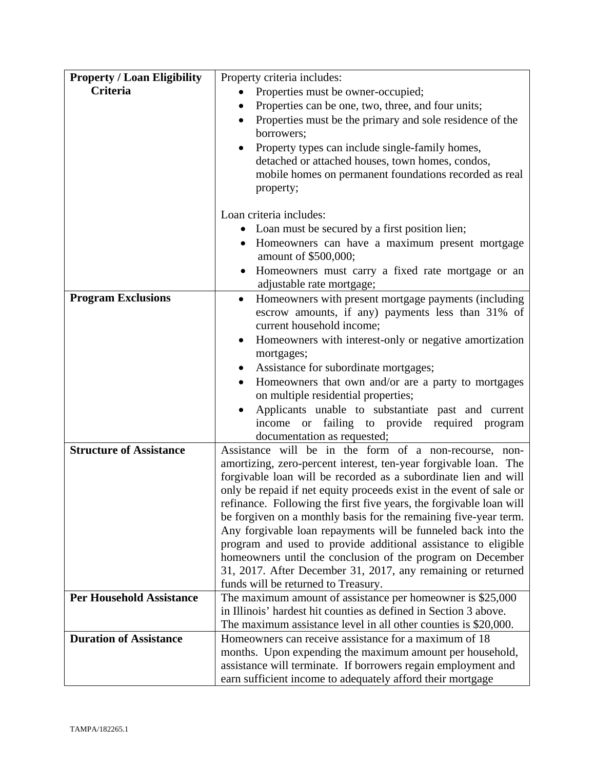| <b>Property / Loan Eligibility</b> | Property criteria includes:                                                                                                |
|------------------------------------|----------------------------------------------------------------------------------------------------------------------------|
| Criteria                           | Properties must be owner-occupied;                                                                                         |
|                                    | Properties can be one, two, three, and four units;<br>$\bullet$                                                            |
|                                    | Properties must be the primary and sole residence of the<br>$\bullet$                                                      |
|                                    | borrowers;                                                                                                                 |
|                                    | Property types can include single-family homes,<br>$\bullet$                                                               |
|                                    | detached or attached houses, town homes, condos,                                                                           |
|                                    | mobile homes on permanent foundations recorded as real                                                                     |
|                                    | property;                                                                                                                  |
|                                    | Loan criteria includes:                                                                                                    |
|                                    | Loan must be secured by a first position lien;                                                                             |
|                                    | Homeowners can have a maximum present mortgage                                                                             |
|                                    | amount of \$500,000;                                                                                                       |
|                                    | Homeowners must carry a fixed rate mortgage or an                                                                          |
|                                    | adjustable rate mortgage;                                                                                                  |
| <b>Program Exclusions</b>          | Homeowners with present mortgage payments (including<br>$\bullet$                                                          |
|                                    | escrow amounts, if any) payments less than 31% of                                                                          |
|                                    | current household income;                                                                                                  |
|                                    | Homeowners with interest-only or negative amortization<br>$\bullet$                                                        |
|                                    | mortgages;                                                                                                                 |
|                                    | Assistance for subordinate mortgages;<br>$\bullet$<br>Homeowners that own and/or are a party to mortgages                  |
|                                    | $\bullet$<br>on multiple residential properties;                                                                           |
|                                    | Applicants unable to substantiate past and current<br>$\bullet$                                                            |
|                                    | income or failing to provide required program                                                                              |
|                                    | documentation as requested;                                                                                                |
| <b>Structure of Assistance</b>     | Assistance will be in the form of a non-recourse, non-                                                                     |
|                                    | amortizing, zero-percent interest, ten-year forgivable loan. The                                                           |
|                                    | forgivable loan will be recorded as a subordinate lien and will                                                            |
|                                    | only be repaid if net equity proceeds exist in the event of sale or                                                        |
|                                    | refinance. Following the first five years, the forgivable loan will                                                        |
|                                    | be forgiven on a monthly basis for the remaining five-year term.                                                           |
|                                    | Any forgivable loan repayments will be funneled back into the                                                              |
|                                    | program and used to provide additional assistance to eligible                                                              |
|                                    | homeowners until the conclusion of the program on December<br>31, 2017. After December 31, 2017, any remaining or returned |
|                                    | funds will be returned to Treasury.                                                                                        |
| <b>Per Household Assistance</b>    | The maximum amount of assistance per homeowner is \$25,000                                                                 |
|                                    | in Illinois' hardest hit counties as defined in Section 3 above.                                                           |
|                                    | The maximum assistance level in all other counties is \$20,000.                                                            |
| <b>Duration of Assistance</b>      | Homeowners can receive assistance for a maximum of 18                                                                      |
|                                    | months. Upon expending the maximum amount per household,                                                                   |
|                                    | assistance will terminate. If borrowers regain employment and                                                              |
|                                    | earn sufficient income to adequately afford their mortgage                                                                 |